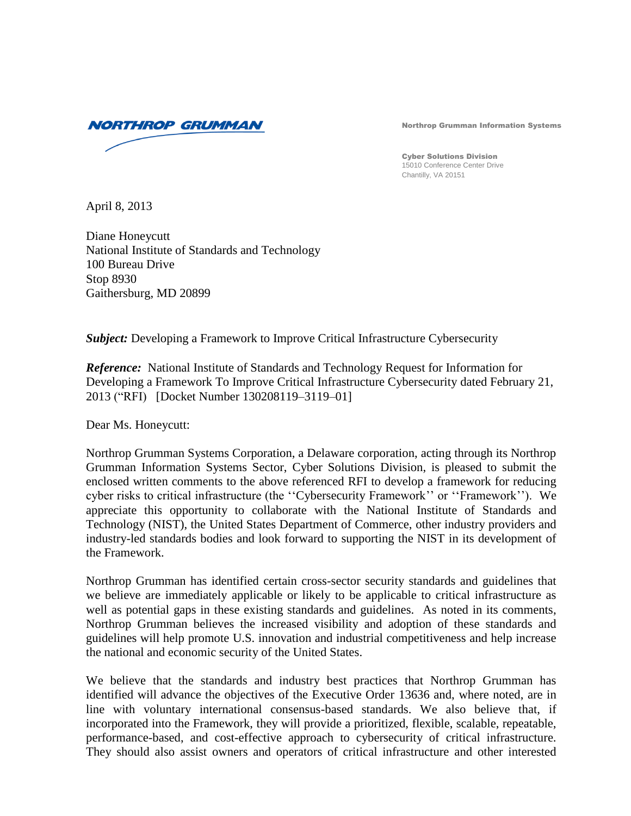

Northrop Grumman Information Systems

Cyber Solutions Division 15010 Conference Center Drive Chantilly, VA 20151

April 8, 2013

Diane Honeycutt National Institute of Standards and Technology 100 Bureau Drive Stop 8930 Gaithersburg, MD 20899

*Subject:* Developing a Framework to Improve Critical Infrastructure Cybersecurity

*Reference:* National Institute of Standards and Technology Request for Information for Developing a Framework To Improve Critical Infrastructure Cybersecurity dated February 21, 2013 ("RFI) [Docket Number 130208119–3119–01]

Dear Ms. Honeycutt:

Northrop Grumman Systems Corporation, a Delaware corporation, acting through its Northrop Grumman Information Systems Sector, Cyber Solutions Division, is pleased to submit the enclosed written comments to the above referenced RFI to develop a framework for reducing cyber risks to critical infrastructure (the ''Cybersecurity Framework'' or ''Framework''). We appreciate this opportunity to collaborate with the National Institute of Standards and Technology (NIST), the United States Department of Commerce, other industry providers and industry-led standards bodies and look forward to supporting the NIST in its development of the Framework.

Northrop Grumman has identified certain cross-sector security standards and guidelines that we believe are immediately applicable or likely to be applicable to critical infrastructure as well as potential gaps in these existing standards and guidelines. As noted in its comments, Northrop Grumman believes the increased visibility and adoption of these standards and guidelines will help promote U.S. innovation and industrial competitiveness and help increase the national and economic security of the United States.

We believe that the standards and industry best practices that Northrop Grumman has identified will advance the objectives of the Executive Order 13636 and, where noted, are in line with voluntary international consensus-based standards. We also believe that, if incorporated into the Framework, they will provide a prioritized, flexible, scalable, repeatable, performance-based, and cost-effective approach to cybersecurity of critical infrastructure. They should also assist owners and operators of critical infrastructure and other interested